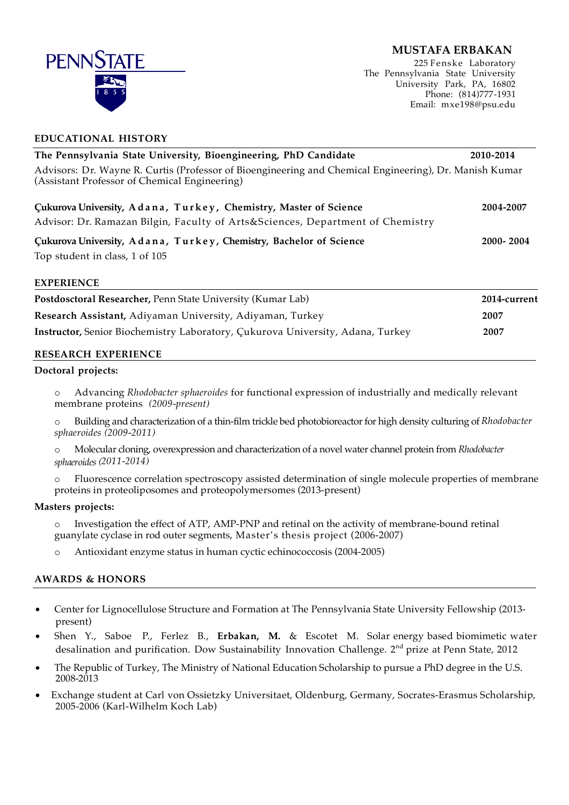# **MUSTAFA ERBAKAN**



**EDUCATIONAL HISTORY**

225 Fenske Laboratory The Pennsylvania State University University Park, PA, 16802 Phone: (814)777-1931 Email: mxe198@psu.edu

| The Pennsylvania State University, Bioengineering, PhD Candidate                                                                                        | 2010-2014 |  |
|---------------------------------------------------------------------------------------------------------------------------------------------------------|-----------|--|
| Advisors: Dr. Wayne R. Curtis (Professor of Bioengineering and Chemical Engineering), Dr. Manish Kumar<br>(Assistant Professor of Chemical Engineering) |           |  |
| Cukurova University, Adana, Turkey, Chemistry, Master of Science<br>Advisor: Dr. Ramazan Bilgin, Faculty of Arts&Sciences, Department of Chemistry      | 2004-2007 |  |
| Cukurova University, Adana, Turkey, Chemistry, Bachelor of Science<br>Top student in class, 1 of 105                                                    | 2000-2004 |  |

#### **EXPERIENCE**

| Postdosctoral Researcher, Penn State University (Kumar Lab)                    | 2014-current |
|--------------------------------------------------------------------------------|--------------|
| Research Assistant, Adiyaman University, Adiyaman, Turkey                      | 2007         |
| Instructor, Senior Biochemistry Laboratory, Çukurova University, Adana, Turkey | 2007         |
|                                                                                |              |

## **RESEARCH EXPERIENCE**

#### **Doctoral projects:**

- o Advancing *Rhodobacter sphaeroides* for functional expression of industrially and medically relevant membrane proteins *(2009-present)*
- o Building and characterization of a thin-film trickle bed photobioreactor for high density culturing of *Rhodobacter sphaeroides (2009-2011)*
- o Molecular cloning, overexpression and characterization of a novel water channel protein from *Rhodobacter sphaeroides (2011-2014)*
- o Fluorescence correlation spectroscopy assisted determination of single molecule properties of membrane proteins in proteoliposomes and proteopolymersomes (2013-present)

## **Masters projects:**

- o Investigation the effect of ATP, AMP-PNP and retinal on the activity of membrane-bound retinal guanylate cyclase in rod outer segments, Master's thesis project (2006-2007)
- o Antioxidant enzyme status in human cyctic echinococcosis (2004-2005)

## **AWARDS & HONORS**

- Center for Lignocellulose Structure and Formation at The Pennsylvania State University Fellowship (2013 present)
- Shen Y., Saboe P., Ferlez B., **Erbakan, M.** & Escotet M. Solar energy based biomimetic water desalination and purification. Dow Sustainability Innovation Challenge. 2<sup>nd</sup> prize at Penn State, 2012
- The Republic of Turkey, The Ministry of National Education Scholarship to pursue a PhD degree in the U.S. 2008-2013
- Exchange student at Carl von Ossietzky Universitaet, Oldenburg, Germany, Socrates-Erasmus Scholarship, 2005-2006 (Karl-Wilhelm Koch Lab)